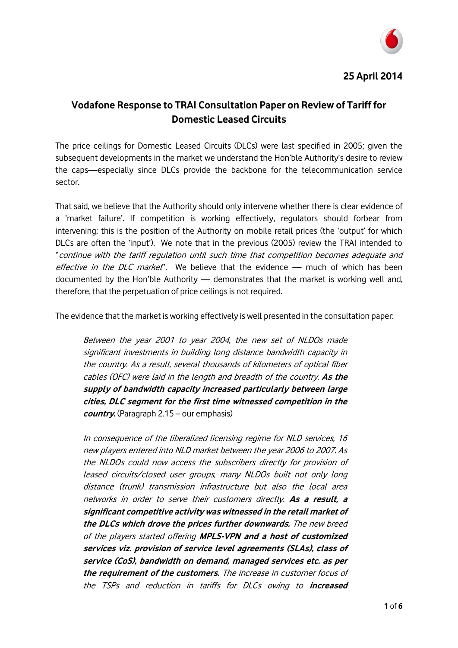

# **Vodafone Response to TRAI Consultation Paper on Review of Tariff for Domestic Leased Circuits**

The price ceilings for Domestic Leased Circuits (DLCs) were last specified in 2005; given the subsequent developments in the market we understand the Hon'ble Authority's desire to review the caps—especially since DLCs provide the backbone for the telecommunication service sector.

That said, we believe that the Authority should only intervene whether there is clear evidence of a 'market failure'. If competition is working effectively, regulators should forbear from intervening; this is the position of the Authority on mobile retail prices (the 'output' for which DLCs are often the 'input'). We note that in the previous (2005) review the TRAI intended to "continue with the tariff regulation until such time that competition becomes adequate and effective in the DLC market". We believe that the evidence - much of which has been documented by the Hon'ble Authority — demonstrates that the market is working well and, therefore, that the perpetuation of price ceilings is not required.

The evidence that the market is working effectively is well presented in the consultation paper:

Between the year 2001 to year 2004, the new set of NLDOs made significant investments in building long distance bandwidth capacity in the country. As a result, several thousands of kilometers of optical fiber cables (OFC) were laid in the length and breadth of the country. **As the supply of bandwidth capacity increased particularly between large cities, DLC segment for the first time witnessed competition in the country.** (Paragraph 2.15 – our emphasis)

In consequence of the liberalized licensing regime for NLD services, 16 new players entered into NLD market between the year 2006 to 2007. As the NLDOs could now access the subscribers directly for provision of leased circuits/closed user groups, many NLDOs built not only long distance (trunk) transmission infrastructure but also the local area networks in order to serve their customers directly. **As a result, a significant competitive activity was witnessed in the retail market of the DLCs which drove the prices further downwards.** The new breed of the players started offering **MPLS-VPN and a host of customized services viz. provision of service level agreements (SLAs), class of service (CoS), bandwidth on demand, managed services etc. as per the requirement of the customers.** The increase in customer focus of the TSPs and reduction in tariffs for DLCs owing to **increased**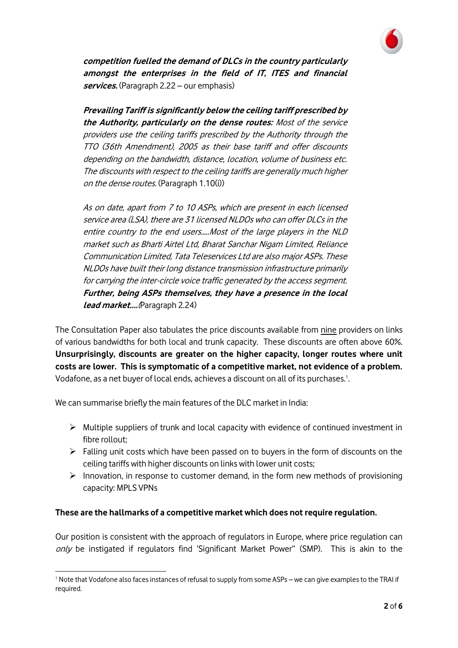

**competition fuelled the demand of DLCs in the country particularly amongst the enterprises in the field of IT, ITES and financial services.** (Paragraph 2.22 – our emphasis)

**Prevailing Tariff is significantly below the ceiling tariff prescribed by the Authority, particularly on the dense routes:** Most of the service providers use the ceiling tariffs prescribed by the Authority through the TTO (36th Amendment), 2005 as their base tariff and offer discounts depending on the bandwidth, distance, location, volume of business etc. The discounts with respect to the ceiling tariffs are generally much higher on the dense routes. (Paragraph 1.10(i))

As on date, apart from 7 to 10 ASPs, which are present in each licensed service area (LSA), there are 31 licensed NLDOs who can offer DLCs in the entire country to the end users…..Most of the large players in the NLD market such as Bharti Airtel Ltd, Bharat Sanchar Nigam Limited, Reliance Communication Limited, Tata Teleservices Ltd are also major ASPs. These NLDOs have built their long distance transmission infrastructure primarily for carrying the inter-circle voice traffic generated by the access segment. **Further, being ASPs themselves, they have a presence in the local lead market….**(Paragraph 2.24)

The Consultation Paper also tabulates the price discounts available from nine providers on links of various bandwidths for both local and trunk capacity. These discounts are often above 60%. **Unsurprisingly, discounts are greater on the higher capacity, longer routes where unit costs are lower. This is symptomatic of a competitive market, not evidence of a problem.** Vodafone, as a net buyer of local ends, achieves a discount on all of its purchases.<sup>1</sup>. .

We can summarise briefly the main features of the DLC market in India:

.

- $\triangleright$  Multiple suppliers of trunk and local capacity with evidence of continued investment in fibre rollout;
- $\triangleright$  Falling unit costs which have been passed on to buyers in the form of discounts on the ceiling tariffs with higher discounts on links with lower unit costs;
- $\triangleright$  Innovation, in response to customer demand, in the form new methods of provisioning capacity: MPLS VPNs

# **These are the hallmarks of a competitive market which does not require regulation.**

Our position is consistent with the approach of regulators in Europe, where price regulation can only be instigated if regulators find 'Significant Market Power" (SMP). This is akin to the

<sup>1</sup> Note that Vodafone also faces instances of refusal to supply from some ASPs – we can give examples to the TRAI if required.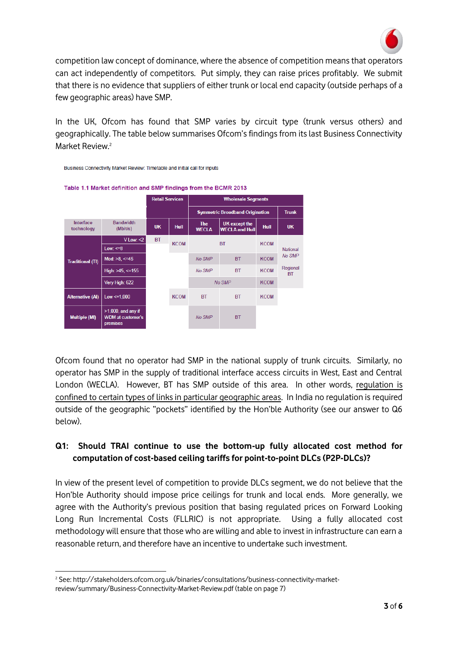

competition law concept of dominance, where the absence of competition means that operators can act independently of competitors. Put simply, they can raise prices profitably. We submit that there is no evidence that suppliers of either trunk or local end capacity (outside perhaps of a few geographic areas) have SMP.

In the UK, Ofcom has found that SMP varies by circuit type (trunk versus others) and geographically. The table below summarises Ofcom's findings from its last Business Connectivity Market Review.<sup>2</sup>



Ofcom found that no operator had SMP in the national supply of trunk circuits. Similarly, no operator has SMP in the supply of traditional interface access circuits in West, East and Central London (WECLA). However, BT has SMP outside of this area. In other words, regulation is confined to certain types of links in particular geographic areas. In India no regulation is required outside of the geographic "pockets" identified by the Hon'ble Authority (see our answer to Q6 below).

#### **Q1: Should TRAI continue to use the bottom-up fully allocated cost method for computation of cost-based ceiling tariffs for point-to-point DLCs (P2P-DLCs)?**

In view of the present level of competition to provide DLCs segment, we do not believe that the Hon'ble Authority should impose price ceilings for trunk and local ends. More generally, we agree with the Authority's previous position that basing regulated prices on Forward Looking Long Run Incremental Costs (FLLRIC) is not appropriate. Using a fully allocated cost methodology will ensure that those who are willing and able to invest in infrastructure can earn a reasonable return, and therefore have an incentive to undertake such investment.

.

<sup>2</sup> See: http://stakeholders.ofcom.org.uk/binaries/consultations/business-connectivity-marketreview/summary/Business-Connectivity-Market-Review.pdf (table on page 7)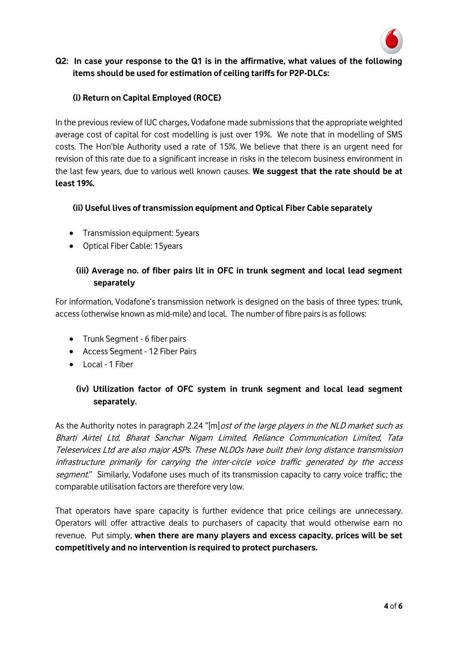

#### **Q2: In case your response to the Q1 is in the affirmative, what values of the following items should be used for estimation of ceiling tariffs for P2P-DLCs:**

# **(i) Return on Capital Employed (ROCE)**

In the previous review of IUC charges, Vodafone made submissions that the appropriate weighted average cost of capital for cost modelling is just over 19%. We note that in modelling of SMS costs. The Hon'ble Authority used a rate of 15%. We believe that there is an urgent need for revision of this rate due to a significant increase in risks in the telecom business environment in the last few years, due to various well known causes. **We suggest that the rate should be at least 19%.**

#### **(ii) Useful lives of transmission equipment and Optical Fiber Cable separately**

- Transmission equipment: 5years
- Optical Fiber Cable: 15years

# **(iii) Average no. of fiber pairs lit in OFC in trunk segment and local lead segment separately**

For information, Vodafone's transmission network is designed on the basis of three types: trunk, access (otherwise known as mid-mile) and local. The number of fibre pairs is as follows:

- Trunk Segment 6 fiber pairs
- Access Segment 12 Fiber Pairs
- Local 1 Fiber

# **(iv) Utilization factor of OFC system in trunk segment and local lead segment separately.**

As the Authority notes in paragraph 2.24 "[m] ost of the large players in the NLD market such as Bharti Airtel Ltd, Bharat Sanchar Nigam Limited, Reliance Communication Limited, Tata Teleservices Ltd are also major ASPs. These NLDOs have built their long distance transmission infrastructure primarily for carrying the inter-circle voice traffic generated by the access segment." Similarly, Vodafone uses much of its transmission capacity to carry voice traffic; the comparable utilisation factors are therefore very low.

That operators have spare capacity is further evidence that price ceilings are unnecessary. Operators will offer attractive deals to purchasers of capacity that would otherwise earn no revenue. Put simply, **when there are many players and excess capacity, prices will be set competitively and no intervention is required to protect purchasers.**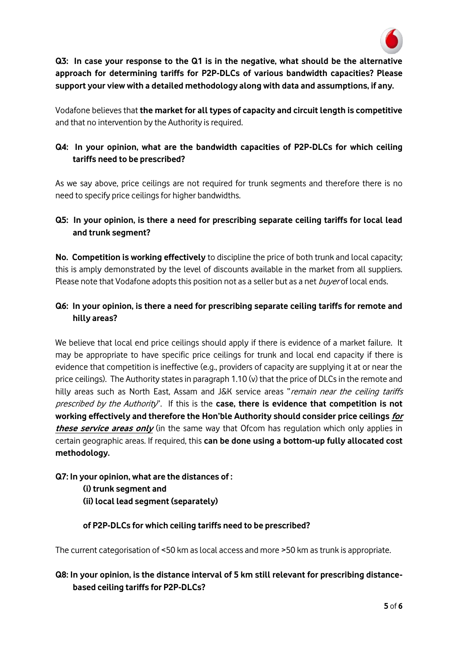

**Q3: In case your response to the Q1 is in the negative, what should be the alternative approach for determining tariffs for P2P-DLCs of various bandwidth capacities? Please support your view with a detailed methodology along with data and assumptions, if any.** 

Vodafone believes that **the market for all types of capacity and circuit length is competitive** and that no intervention by the Authority is required.

# **Q4: In your opinion, what are the bandwidth capacities of P2P-DLCs for which ceiling tariffs need to be prescribed?**

As we say above, price ceilings are not required for trunk segments and therefore there is no need to specify price ceilings for higher bandwidths.

# **Q5: In your opinion, is there a need for prescribing separate ceiling tariffs for local lead and trunk segment?**

**No. Competition is working effectively** to discipline the price of both trunk and local capacity; this is amply demonstrated by the level of discounts available in the market from all suppliers. Please note that Vodafone adopts this position not as a seller but as a net buyer of local ends.

# **Q6: In your opinion, is there a need for prescribing separate ceiling tariffs for remote and hilly areas?**

We believe that local end price ceilings should apply if there is evidence of a market failure. It may be appropriate to have specific price ceilings for trunk and local end capacity if there is evidence that competition is ineffective (e.g., providers of capacity are supplying it at or near the price ceilings). The Authority states in paragraph 1.10 (v) that the price of DLCs in the remote and hilly areas such as North East, Assam and J&K service areas "remain near the ceiling tariffs prescribed by the Authority". If this is the **case, there is evidence that competition is not working effectively and therefore the Hon'ble Authority should consider price ceilings for**  *these service areas only* (in the same way that Ofcom has regulation which only applies in certain geographic areas. If required, this **can be done using a bottom-up fully allocated cost methodology.** 

# **Q7: In your opinion, what are the distances of :**

**(i) trunk segment and (ii) local lead segment (separately)** 

# **of P2P-DLCs for which ceiling tariffs need to be prescribed?**

The current categorisation of <50 km as local access and more >50 km as trunk is appropriate.

# **Q8: In your opinion, is the distance interval of 5 km still relevant for prescribing distancebased ceiling tariffs for P2P-DLCs?**